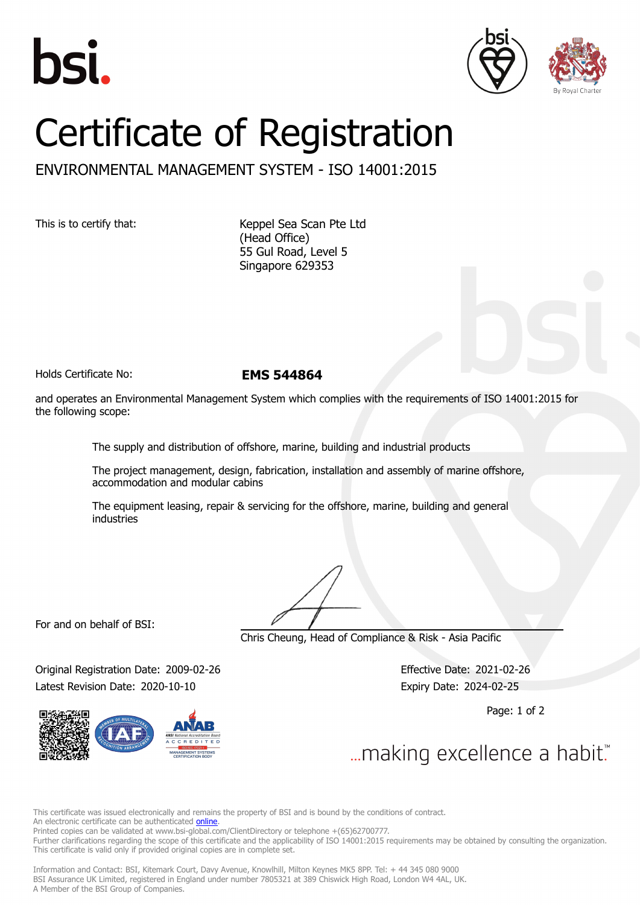





## Certificate of Registration

## ENVIRONMENTAL MANAGEMENT SYSTEM - ISO 14001:2015

This is to certify that: Keppel Sea Scan Pte Ltd (Head Office) 55 Gul Road, Level 5 Singapore 629353

Holds Certificate No: **EMS 544864**

and operates an Environmental Management System which complies with the requirements of ISO 14001:2015 for the following scope:

The supply and distribution of offshore, marine, building and industrial products

The project management, design, fabrication, installation and assembly of marine offshore, accommodation and modular cabins

The equipment leasing, repair & servicing for the offshore, marine, building and general industries

For and on behalf of BSI:

Chris Cheung, Head of Compliance & Risk - Asia Pacific

Original Registration Date: 2009-02-26 Effective Date: 2021-02-26 Latest Revision Date: 2020-10-10 **Expiry Date: 2024-02-25** 

Page: 1 of 2

... making excellence a habit."

This certificate was issued electronically and remains the property of BSI and is bound by the conditions of contract. An electronic certificate can be authenticated **[online](https://pgplus.bsigroup.com/CertificateValidation/CertificateValidator.aspx?CertificateNumber=EMS+544864&ReIssueDate=10%2f10%2f2020&Template=sing_en)** Printed copies can be validated at www.bsi-global.com/ClientDirectory or telephone +(65)62700777. Further clarifications regarding the scope of this certificate and the applicability of ISO 14001:2015 requirements may be obtained by consulting the organization. This certificate is valid only if provided original copies are in complete set.

Information and Contact: BSI, Kitemark Court, Davy Avenue, Knowlhill, Milton Keynes MK5 8PP. Tel: + 44 345 080 9000 BSI Assurance UK Limited, registered in England under number 7805321 at 389 Chiswick High Road, London W4 4AL, UK. A Member of the BSI Group of Companies.